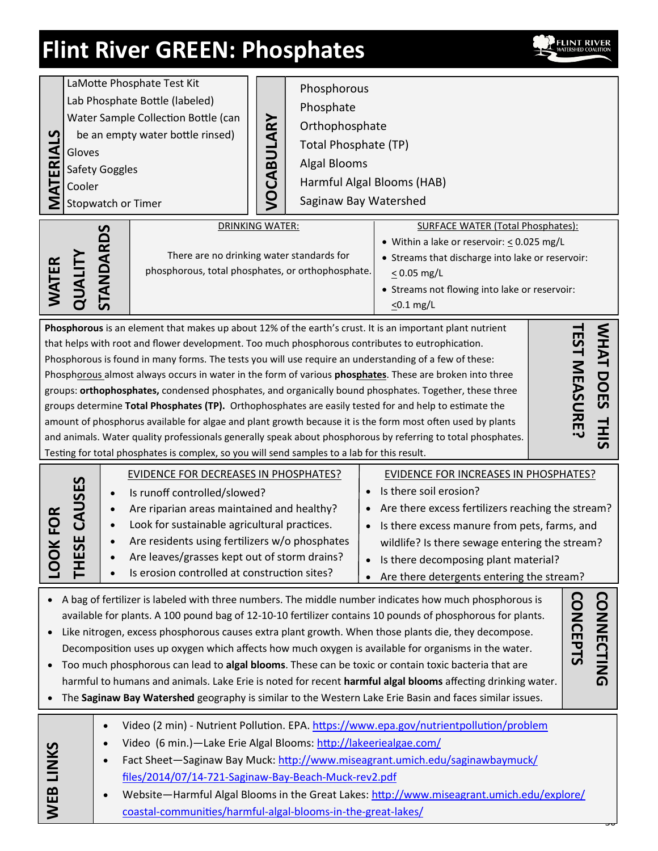

| <u> ળ</u><br>ERIA<br>ৱ<br>WATER                                                                                                                                                                                                                                                                                                                                                                                                                                                                                                                                                                                                                                                                                                                                                                                                                                                                                                                                                                                                                                                                                    | LaMotte Phosphate Test Kit<br>Lab Phosphate Bottle (labeled)<br>Water Sample Collection Bottle (can<br>be an empty water bottle rinsed)<br>Gloves<br>Safety Goggles<br>Cooler<br>Stopwatch or Timer<br><b>TANDARDS</b>                                                                                                                                                                                | Phosphorous<br>Phosphate<br>VOCABULARY<br>Orthophosphate<br>Total Phosphate (TP)<br><b>Algal Blooms</b><br>Harmful Algal Blooms (HAB)<br>Saginaw Bay Watershed<br><b>DRINKING WATER:</b><br>There are no drinking water standards for<br>phosphorous, total phosphates, or orthophosphate. | <b>SURFACE WATER (Total Phosphates):</b><br>• Within a lake or reservoir: $\leq$ 0.025 mg/L<br>• Streams that discharge into lake or reservoir:<br>$\leq$ 0.05 mg/L                                                                                                                                                |  |
|--------------------------------------------------------------------------------------------------------------------------------------------------------------------------------------------------------------------------------------------------------------------------------------------------------------------------------------------------------------------------------------------------------------------------------------------------------------------------------------------------------------------------------------------------------------------------------------------------------------------------------------------------------------------------------------------------------------------------------------------------------------------------------------------------------------------------------------------------------------------------------------------------------------------------------------------------------------------------------------------------------------------------------------------------------------------------------------------------------------------|-------------------------------------------------------------------------------------------------------------------------------------------------------------------------------------------------------------------------------------------------------------------------------------------------------------------------------------------------------------------------------------------------------|--------------------------------------------------------------------------------------------------------------------------------------------------------------------------------------------------------------------------------------------------------------------------------------------|--------------------------------------------------------------------------------------------------------------------------------------------------------------------------------------------------------------------------------------------------------------------------------------------------------------------|--|
| QUAL<br>• Streams not flowing into lake or reservoir:<br>$\leq$ 0.1 mg/L<br>Phosphorous is an element that makes up about 12% of the earth's crust. It is an important plant nutrient<br>WHAT DOES<br><b>EST MEASURE</b><br>that helps with root and flower development. Too much phosphorous contributes to eutrophication.<br>Phosphorous is found in many forms. The tests you will use require an understanding of a few of these:<br>Phosphorous almost always occurs in water in the form of various phosphates. These are broken into three<br>groups: orthophosphates, condensed phosphates, and organically bound phosphates. Together, these three<br>groups determine Total Phosphates (TP). Orthophosphates are easily tested for and help to estimate the<br><b>THIS</b><br>amount of phosphorus available for algae and plant growth because it is the form most often used by plants<br>and animals. Water quality professionals generally speak about phosphorous by referring to total phosphates.<br>Testing for total phosphates is complex, so you will send samples to a lab for this result. |                                                                                                                                                                                                                                                                                                                                                                                                       |                                                                                                                                                                                                                                                                                            |                                                                                                                                                                                                                                                                                                                    |  |
| FOR<br>$\overline{\underline{\bm{\times}}}$<br><u>oo</u>                                                                                                                                                                                                                                                                                                                                                                                                                                                                                                                                                                                                                                                                                                                                                                                                                                                                                                                                                                                                                                                           | <b>EVIDENCE FOR DECREASES IN PHOSPHATES?</b><br>CAUSES<br>Is runoff controlled/slowed?<br>$\bullet$<br>Are riparian areas maintained and healthy?<br>$\bullet$<br>Look for sustainable agricultural practices.<br>$\bullet$<br>56<br>Are residents using fertilizers w/o phosphates<br>Are leaves/grasses kept out of storm drains?<br>곤<br>Is erosion controlled at construction sites?<br>$\bullet$ | $\bullet$<br>$\bullet$                                                                                                                                                                                                                                                                     | <b>EVIDENCE FOR INCREASES IN PHOSPHATES?</b><br>Is there soil erosion?<br>Are there excess fertilizers reaching the stream?<br>Is there excess manure from pets, farms, and<br>wildlife? Is there sewage entering the stream?<br>Is there decomposing plant material?<br>Are there detergents entering the stream? |  |
| <b>CONNECTING</b><br><b>CONCEPTS</b><br>A bag of fertilizer is labeled with three numbers. The middle number indicates how much phosphorous is<br>available for plants. A 100 pound bag of 12-10-10 fertilizer contains 10 pounds of phosphorous for plants.<br>Like nitrogen, excess phosphorous causes extra plant growth. When those plants die, they decompose.<br>Decomposition uses up oxygen which affects how much oxygen is available for organisms in the water.<br>Too much phosphorous can lead to algal blooms. These can be toxic or contain toxic bacteria that are<br>harmful to humans and animals. Lake Erie is noted for recent harmful algal blooms affecting drinking water.<br>The Saginaw Bay Watershed geography is similar to the Western Lake Erie Basin and faces similar issues.                                                                                                                                                                                                                                                                                                       |                                                                                                                                                                                                                                                                                                                                                                                                       |                                                                                                                                                                                                                                                                                            |                                                                                                                                                                                                                                                                                                                    |  |
| WEB LINKS                                                                                                                                                                                                                                                                                                                                                                                                                                                                                                                                                                                                                                                                                                                                                                                                                                                                                                                                                                                                                                                                                                          | $\bullet$<br>Video (6 min.)-Lake Erie Algal Blooms: http://lakeeriealgae.com/<br>$\bullet$<br>$\bullet$<br>files/2014/07/14-721-Saginaw-Bay-Beach-Muck-rev2.pdf<br>$\bullet$<br>coastal-communities/harmful-algal-blooms-in-the-great-lakes/                                                                                                                                                          |                                                                                                                                                                                                                                                                                            | Video (2 min) - Nutrient Pollution. EPA. https://www.epa.gov/nutrientpollution/problem<br>Fact Sheet-Saginaw Bay Muck: http://www.miseagrant.umich.edu/saginawbaymuck/<br>Website-Harmful Algal Blooms in the Great Lakes: http://www.miseagrant.umich.edu/explore/                                                |  |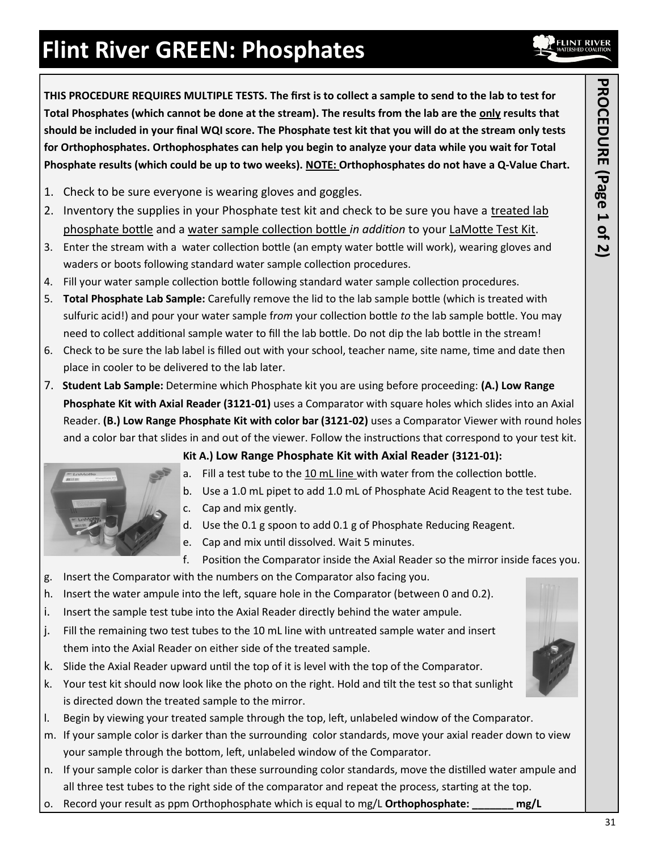**THIS PROCEDURE REQUIRES MULTIPLE TESTS. The first is to collect a sample to send to the lab to test for Total Phosphates (which cannot be done at the stream). The results from the lab are the only results that should be included in your final WQI score. The Phosphate test kit that you will do at the stream only tests for Orthophosphates. Orthophosphates can help you begin to analyze your data while you wait for Total Phosphate results (which could be up to two weeks). NOTE: Orthophosphates do not have a Q-Value Chart.** 

- 1. Check to be sure everyone is wearing gloves and goggles.
- 2. Inventory the supplies in your Phosphate test kit and check to be sure you have a treated lab phosphate bottle and a water sample collection bottle *in addition* to your LaMotte Test Kit.
- 3. Enter the stream with a water collection bottle (an empty water bottle will work), wearing gloves and waders or boots following standard water sample collection procedures.
- 4. Fill your water sample collection bottle following standard water sample collection procedures.
- 5. **Total Phosphate Lab Sample:** Carefully remove the lid to the lab sample bottle (which is treated with sulfuric acid!) and pour your water sample f*rom* your collection bottle *to* the lab sample bottle. You may need to collect additional sample water to fill the lab bottle. Do not dip the lab bottle in the stream!
- 6. Check to be sure the lab label is filled out with your school, teacher name, site name, time and date then place in cooler to be delivered to the lab later.
- 7. **Student Lab Sample:** Determine which Phosphate kit you are using before proceeding: **(A.) Low Range Phosphate Kit with Axial Reader (3121-01)** uses a Comparator with square holes which slides into an Axial Reader. **(B.) Low Range Phosphate Kit with color bar (3121-02)** uses a Comparator Viewer with round holes and a color bar that slides in and out of the viewer. Follow the instructions that correspond to your test kit.



- **Kit A.) Low Range Phosphate Kit with Axial Reader (3121-01):**
- a. Fill a test tube to the 10 mL line with water from the collection bottle.
- b. Use a 1.0 mL pipet to add 1.0 mL of Phosphate Acid Reagent to the test tube.
- c. Cap and mix gently.
- d. Use the 0.1 g spoon to add 0.1 g of Phosphate Reducing Reagent.
- e. Cap and mix until dissolved. Wait 5 minutes.
- f. Position the Comparator inside the Axial Reader so the mirror inside faces you.
- g. Insert the Comparator with the numbers on the Comparator also facing you.
- h. Insert the water ampule into the left, square hole in the Comparator (between 0 and 0.2).
- i. Insert the sample test tube into the Axial Reader directly behind the water ampule.
- j. Fill the remaining two test tubes to the 10 mL line with untreated sample water and insert them into the Axial Reader on either side of the treated sample.
- k. Slide the Axial Reader upward until the top of it is level with the top of the Comparator.
- k. Your test kit should now look like the photo on the right. Hold and tilt the test so that sunlight is directed down the treated sample to the mirror.
- l. Begin by viewing your treated sample through the top, left, unlabeled window of the Comparator.
- m. If your sample color is darker than the surrounding color standards, move your axial reader down to view your sample through the bottom, left, unlabeled window of the Comparator.
- n. If your sample color is darker than these surrounding color standards, move the distilled water ampule and all three test tubes to the right side of the comparator and repeat the process, starting at the top.
- o. Record your result as ppm Orthophosphate which is equal to mg/L **Orthophosphate: \_\_\_\_\_\_\_ mg/L**

**FLINT RIVE** 

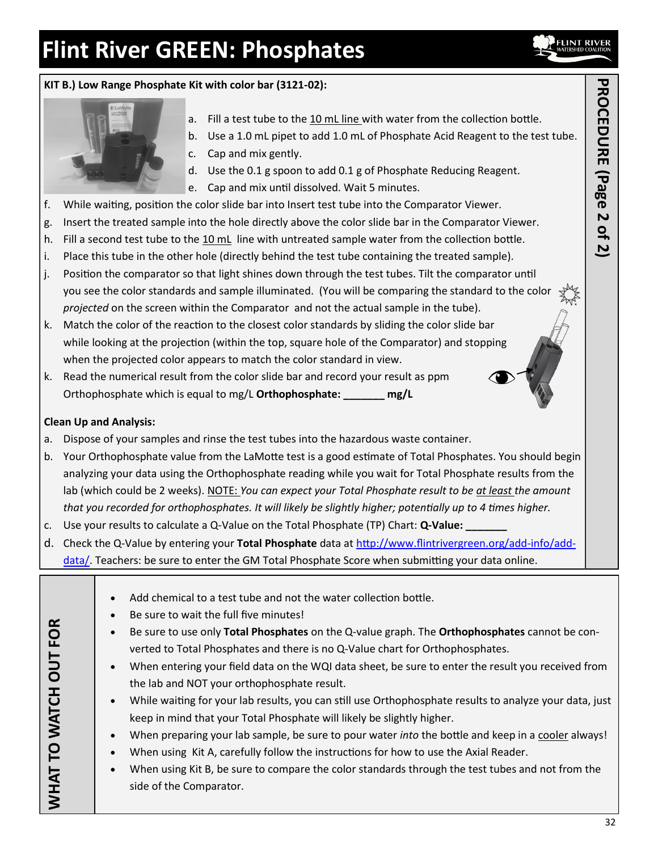



- a. Fill a test tube to the 10 mL line with water from the collection bottle.
- b. Use a 1.0 mL pipet to add 1.0 mL of Phosphate Acid Reagent to the test tube.
- c. Cap and mix gently.
- d. Use the 0.1 g spoon to add 0.1 g of Phosphate Reducing Reagent.
- e. Cap and mix until dissolved. Wait 5 minutes.
- f. While waiting, position the color slide bar into Insert test tube into the Comparator Viewer.
- g. Insert the treated sample into the hole directly above the color slide bar in the Comparator Viewer.
- h. Fill a second test tube to the 10 mL line with untreated sample water from the collection bottle.
- i. Place this tube in the other hole (directly behind the test tube containing the treated sample).
- j. Position the comparator so that light shines down through the test tubes. Tilt the comparator until you see the color standards and sample illuminated. (You will be comparing the standard to the color *projected* on the screen within the Comparator and not the actual sample in the tube).
- k. Match the color of the reaction to the closest color standards by sliding the color slide bar while looking at the projection (within the top, square hole of the Comparator) and stopping when the projected color appears to match the color standard in view.
- k. Read the numerical result from the color slide bar and record your result as ppm Orthophosphate which is equal to mg/L **Orthophosphate: \_\_\_\_\_\_\_ mg/L**

### **Clean Up and Analysis:**

- a. Dispose of your samples and rinse the test tubes into the hazardous waste container.
- b. Your Orthophosphate value from the LaMotte test is a good estimate of Total Phosphates. You should begin analyzing your data using the Orthophosphate reading while you wait for Total Phosphate results from the lab (which could be 2 weeks). NOTE: *You can expect your Total Phosphate result to be at least the amount that you recorded for orthophosphates. It will likely be slightly higher; potentially up to 4 times higher.*
- c. Use your results to calculate a Q-Value on the Total Phosphate (TP) Chart: **Q-Value: \_\_\_\_\_\_\_**
- d. Check the Q-Value by entering your **Total Phosphate** data at [http://www.flintrivergreen.org/add](http://www.flintrivergreen.org/add-info/add-data/)-info/add[data/.](http://www.flintrivergreen.org/add-info/add-data/) Teachers: be sure to enter the GM Total Phosphate Score when submitting your data online.

| Add chemical to a test tube and not the water collection bottle.<br>Be sure to wait the full five minutes!<br>WHAT TO WATCH OUT FOR<br>Be sure to use only Total Phosphates on the Q-value graph. The Orthophosphates cannot be con-<br>verted to Total Phosphates and there is no Q-Value chart for Orthophosphates.<br>When entering your field data on the WQI data sheet, be sure to enter the result you received from<br>$\bullet$<br>the lab and NOT your orthophosphate result.<br>While waiting for your lab results, you can still use Orthophosphate results to analyze your data, just<br>keep in mind that your Total Phosphate will likely be slightly higher.<br>When preparing your lab sample, be sure to pour water <i>into</i> the bottle and keep in a cooler always!<br>$\bullet$<br>When using Kit A, carefully follow the instructions for how to use the Axial Reader.<br>When using Kit B, be sure to compare the color standards through the test tubes and not from the<br>side of the Comparator. |  |
|-------------------------------------------------------------------------------------------------------------------------------------------------------------------------------------------------------------------------------------------------------------------------------------------------------------------------------------------------------------------------------------------------------------------------------------------------------------------------------------------------------------------------------------------------------------------------------------------------------------------------------------------------------------------------------------------------------------------------------------------------------------------------------------------------------------------------------------------------------------------------------------------------------------------------------------------------------------------------------------------------------------------------------|--|
|-------------------------------------------------------------------------------------------------------------------------------------------------------------------------------------------------------------------------------------------------------------------------------------------------------------------------------------------------------------------------------------------------------------------------------------------------------------------------------------------------------------------------------------------------------------------------------------------------------------------------------------------------------------------------------------------------------------------------------------------------------------------------------------------------------------------------------------------------------------------------------------------------------------------------------------------------------------------------------------------------------------------------------|--|

**FLINT RIVE**